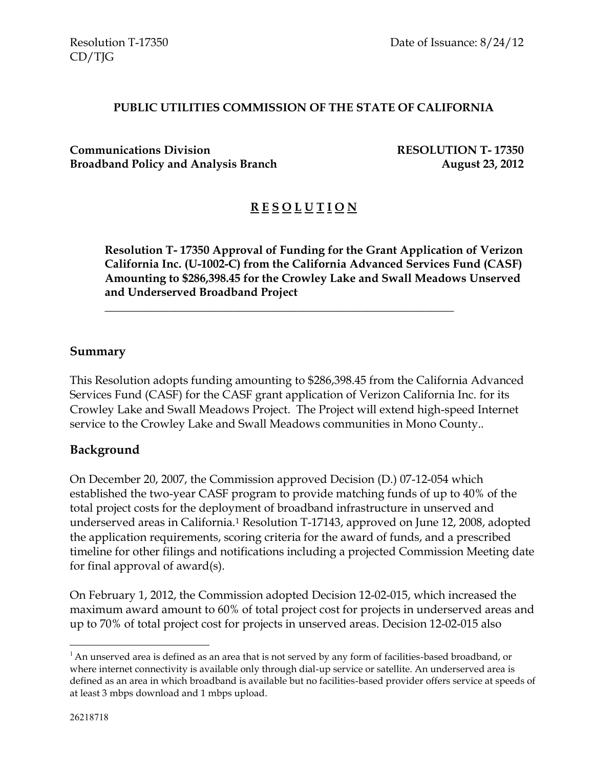#### **PUBLIC UTILITIES COMMISSION OF THE STATE OF CALIFORNIA**

**Communications Division RESOLUTION T- 17350 Broadband Policy and Analysis Branch August 23, 2012** 

# **R E S O L U T I O N**

**Resolution T- 17350 Approval of Funding for the Grant Application of Verizon California Inc. (U-1002-C) from the California Advanced Services Fund (CASF) Amounting to \$286,398.45 for the Crowley Lake and Swall Meadows Unserved and Underserved Broadband Project**

#### **Summary**

This Resolution adopts funding amounting to \$286,398.45 from the California Advanced Services Fund (CASF) for the CASF grant application of Verizon California Inc. for its Crowley Lake and Swall Meadows Project. The Project will extend high-speed Internet service to the Crowley Lake and Swall Meadows communities in Mono County..

\_\_\_\_\_\_\_\_\_\_\_\_\_\_\_\_\_\_\_\_\_\_\_\_\_\_\_\_\_\_\_\_\_\_\_\_\_\_\_\_\_\_\_\_\_\_\_\_\_\_\_\_\_\_\_\_\_\_\_\_

#### **Background**

On December 20, 2007, the Commission approved Decision (D.) 07-12-054 which established the two-year CASF program to provide matching funds of up to 40% of the total project costs for the deployment of broadband infrastructure in unserved and underserved areas in California.<sup>1</sup> Resolution T-17143, approved on June 12, 2008, adopted the application requirements, scoring criteria for the award of funds, and a prescribed timeline for other filings and notifications including a projected Commission Meeting date for final approval of award(s).

On February 1, 2012, the Commission adopted Decision 12-02-015, which increased the maximum award amount to 60% of total project cost for projects in underserved areas and up to 70% of total project cost for projects in unserved areas. Decision 12-02-015 also

 $\overline{a}$ 

 $<sup>1</sup>$  An unserved area is defined as an area that is not served by any form of facilities-based broadband, or</sup> where internet connectivity is available only through dial-up service or satellite. An underserved area is defined as an area in which broadband is available but no facilities-based provider offers service at speeds of at least 3 mbps download and 1 mbps upload.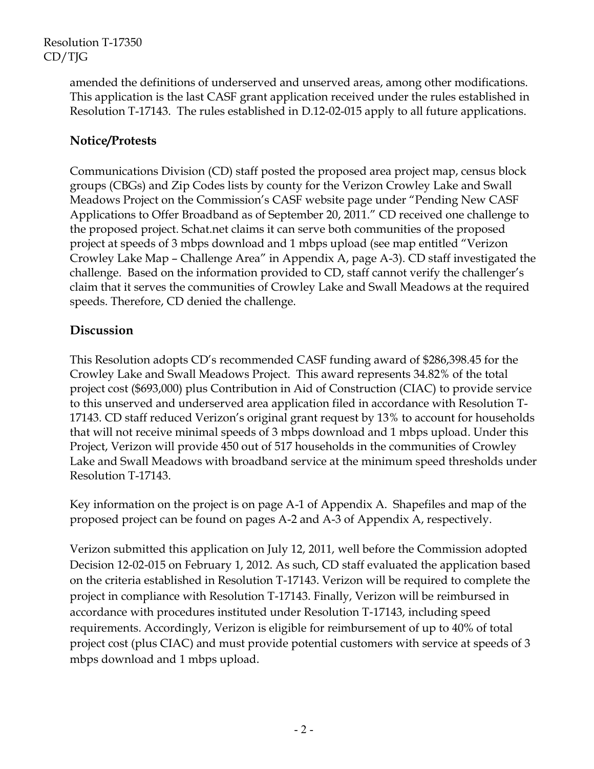> amended the definitions of underserved and unserved areas, among other modifications. This application is the last CASF grant application received under the rules established in Resolution T-17143. The rules established in D.12-02-015 apply to all future applications.

# **Notice/Protests**

Communications Division (CD) staff posted the proposed area project map, census block groups (CBGs) and Zip Codes lists by county for the Verizon Crowley Lake and Swall Meadows Project on the Commission's CASF website page under "Pending New CASF Applications to Offer Broadband as of September 20, 2011." CD received one challenge to the proposed project. Schat.net claims it can serve both communities of the proposed project at speeds of 3 mbps download and 1 mbps upload (see map entitled "Verizon Crowley Lake Map – Challenge Area" in Appendix A, page A-3). CD staff investigated the challenge. Based on the information provided to CD, staff cannot verify the challenger's claim that it serves the communities of Crowley Lake and Swall Meadows at the required speeds. Therefore, CD denied the challenge.

# **Discussion**

This Resolution adopts CD's recommended CASF funding award of \$286,398.45 for the Crowley Lake and Swall Meadows Project. This award represents 34.82% of the total project cost (\$693,000) plus Contribution in Aid of Construction (CIAC) to provide service to this unserved and underserved area application filed in accordance with Resolution T-17143. CD staff reduced Verizon's original grant request by 13% to account for households that will not receive minimal speeds of 3 mbps download and 1 mbps upload. Under this Project, Verizon will provide 450 out of 517 households in the communities of Crowley Lake and Swall Meadows with broadband service at the minimum speed thresholds under Resolution T-17143.

Key information on the project is on page A-1 of Appendix A. Shapefiles and map of the proposed project can be found on pages A-2 and A-3 of Appendix A, respectively.

Verizon submitted this application on July 12, 2011, well before the Commission adopted Decision 12-02-015 on February 1, 2012. As such, CD staff evaluated the application based on the criteria established in Resolution T-17143. Verizon will be required to complete the project in compliance with Resolution T-17143. Finally, Verizon will be reimbursed in accordance with procedures instituted under Resolution T-17143, including speed requirements. Accordingly, Verizon is eligible for reimbursement of up to 40% of total project cost (plus CIAC) and must provide potential customers with service at speeds of 3 mbps download and 1 mbps upload.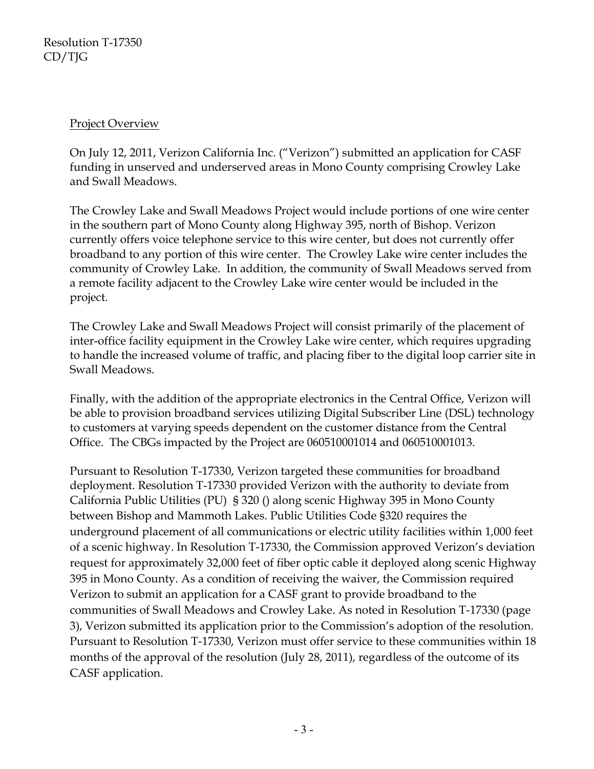### Project Overview

On July 12, 2011, Verizon California Inc. ("Verizon") submitted an application for CASF funding in unserved and underserved areas in Mono County comprising Crowley Lake and Swall Meadows.

The Crowley Lake and Swall Meadows Project would include portions of one wire center in the southern part of Mono County along Highway 395, north of Bishop. Verizon currently offers voice telephone service to this wire center, but does not currently offer broadband to any portion of this wire center. The Crowley Lake wire center includes the community of Crowley Lake. In addition, the community of Swall Meadows served from a remote facility adjacent to the Crowley Lake wire center would be included in the project.

The Crowley Lake and Swall Meadows Project will consist primarily of the placement of inter-office facility equipment in the Crowley Lake wire center, which requires upgrading to handle the increased volume of traffic, and placing fiber to the digital loop carrier site in Swall Meadows.

Finally, with the addition of the appropriate electronics in the Central Office, Verizon will be able to provision broadband services utilizing Digital Subscriber Line (DSL) technology to customers at varying speeds dependent on the customer distance from the Central Office. The CBGs impacted by the Project are 060510001014 and 060510001013.

Pursuant to Resolution T-17330, Verizon targeted these communities for broadband deployment. Resolution T-17330 provided Verizon with the authority to deviate from California Public Utilities (PU) § 320 () along scenic Highway 395 in Mono County between Bishop and Mammoth Lakes. Public Utilities Code §320 requires the underground placement of all communications or electric utility facilities within 1,000 feet of a scenic highway. In Resolution T-17330, the Commission approved Verizon's deviation request for approximately 32,000 feet of fiber optic cable it deployed along scenic Highway 395 in Mono County. As a condition of receiving the waiver, the Commission required Verizon to submit an application for a CASF grant to provide broadband to the communities of Swall Meadows and Crowley Lake. As noted in Resolution T-17330 (page 3), Verizon submitted its application prior to the Commission's adoption of the resolution. Pursuant to Resolution T-17330, Verizon must offer service to these communities within 18 months of the approval of the resolution (July 28, 2011), regardless of the outcome of its CASF application.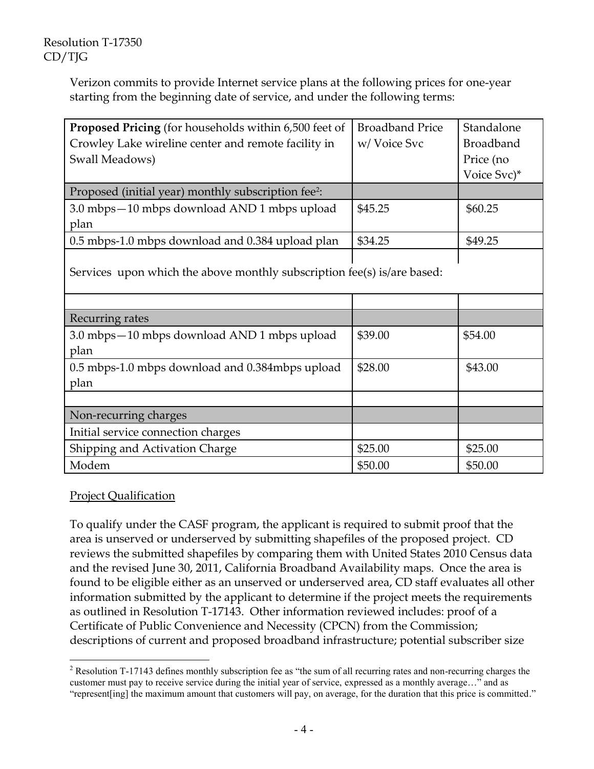Verizon commits to provide Internet service plans at the following prices for one-year starting from the beginning date of service, and under the following terms:

| <b>Proposed Pricing</b> (for households within 6,500 feet of            | <b>Broadband Price</b> | Standalone       |  |  |
|-------------------------------------------------------------------------|------------------------|------------------|--|--|
| Crowley Lake wireline center and remote facility in                     | w/Voice Svc            | <b>Broadband</b> |  |  |
| Swall Meadows)                                                          |                        | Price (no        |  |  |
|                                                                         |                        | Voice Svc)*      |  |  |
| Proposed (initial year) monthly subscription fee <sup>2</sup> :         |                        |                  |  |  |
| 3.0 mbps - 10 mbps download AND 1 mbps upload                           | \$45.25                | \$60.25          |  |  |
| plan                                                                    |                        |                  |  |  |
| 0.5 mbps-1.0 mbps download and 0.384 upload plan                        | \$34.25                | \$49.25          |  |  |
| Services upon which the above monthly subscription fee(s) is/are based: |                        |                  |  |  |
|                                                                         |                        |                  |  |  |
| Recurring rates                                                         |                        |                  |  |  |
| 3.0 mbps – 10 mbps download AND 1 mbps upload                           | \$39.00                | \$54.00          |  |  |

\$28.00 \$43.00

| Shipping and Activation Charge | \$25.00 | \$25.00 |
|--------------------------------|---------|---------|
| Modem                          | \$50.00 | \$50.00 |
|                                |         |         |

0.5 mbps-1.0 mbps download and 0.384mbps upload

# Project Qualification

Non-recurring charges

Initial service connection charges

plan

plan

To qualify under the CASF program, the applicant is required to submit proof that the area is unserved or underserved by submitting shapefiles of the proposed project. CD reviews the submitted shapefiles by comparing them with United States 2010 Census data and the revised June 30, 2011, California Broadband Availability maps. Once the area is found to be eligible either as an unserved or underserved area, CD staff evaluates all other information submitted by the applicant to determine if the project meets the requirements as outlined in Resolution T-17143. Other information reviewed includes: proof of a Certificate of Public Convenience and Necessity (CPCN) from the Commission; descriptions of current and proposed broadband infrastructure; potential subscriber size

 $\overline{a}$ <sup>2</sup> Resolution T-17143 defines monthly subscription fee as "the sum of all recurring rates and non-recurring charges the customer must pay to receive service during the initial year of service, expressed as a monthly average…" and as "represent[ing] the maximum amount that customers will pay, on average, for the duration that this price is committed."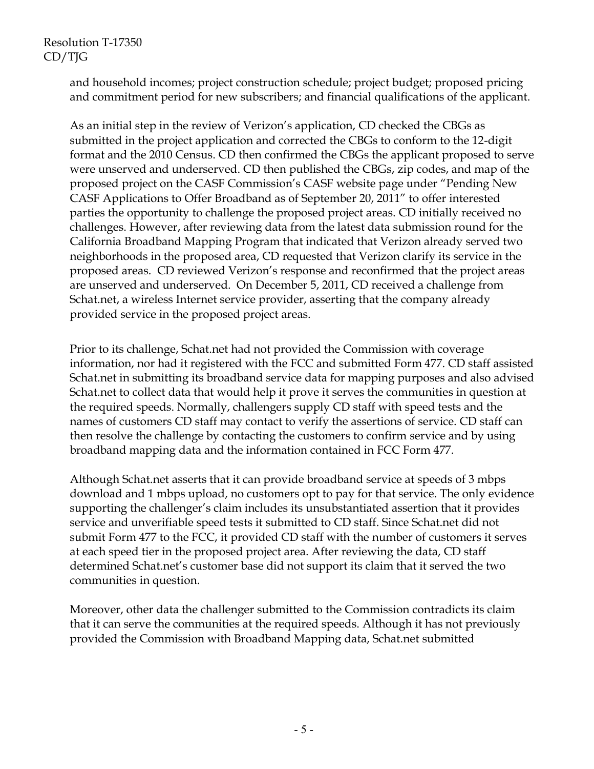and household incomes; project construction schedule; project budget; proposed pricing and commitment period for new subscribers; and financial qualifications of the applicant.

As an initial step in the review of Verizon's application, CD checked the CBGs as submitted in the project application and corrected the CBGs to conform to the 12-digit format and the 2010 Census. CD then confirmed the CBGs the applicant proposed to serve were unserved and underserved. CD then published the CBGs, zip codes, and map of the proposed project on the CASF Commission's CASF website page under "Pending New CASF Applications to Offer Broadband as of September 20, 2011" to offer interested parties the opportunity to challenge the proposed project areas. CD initially received no challenges. However, after reviewing data from the latest data submission round for the California Broadband Mapping Program that indicated that Verizon already served two neighborhoods in the proposed area, CD requested that Verizon clarify its service in the proposed areas. CD reviewed Verizon's response and reconfirmed that the project areas are unserved and underserved. On December 5, 2011, CD received a challenge from Schat.net, a wireless Internet service provider, asserting that the company already provided service in the proposed project areas.

Prior to its challenge, Schat.net had not provided the Commission with coverage information, nor had it registered with the FCC and submitted Form 477. CD staff assisted Schat.net in submitting its broadband service data for mapping purposes and also advised Schat.net to collect data that would help it prove it serves the communities in question at the required speeds. Normally, challengers supply CD staff with speed tests and the names of customers CD staff may contact to verify the assertions of service. CD staff can then resolve the challenge by contacting the customers to confirm service and by using broadband mapping data and the information contained in FCC Form 477.

Although Schat.net asserts that it can provide broadband service at speeds of 3 mbps download and 1 mbps upload, no customers opt to pay for that service. The only evidence supporting the challenger's claim includes its unsubstantiated assertion that it provides service and unverifiable speed tests it submitted to CD staff. Since Schat.net did not submit Form 477 to the FCC, it provided CD staff with the number of customers it serves at each speed tier in the proposed project area. After reviewing the data, CD staff determined Schat.net's customer base did not support its claim that it served the two communities in question.

Moreover, other data the challenger submitted to the Commission contradicts its claim that it can serve the communities at the required speeds. Although it has not previously provided the Commission with Broadband Mapping data, Schat.net submitted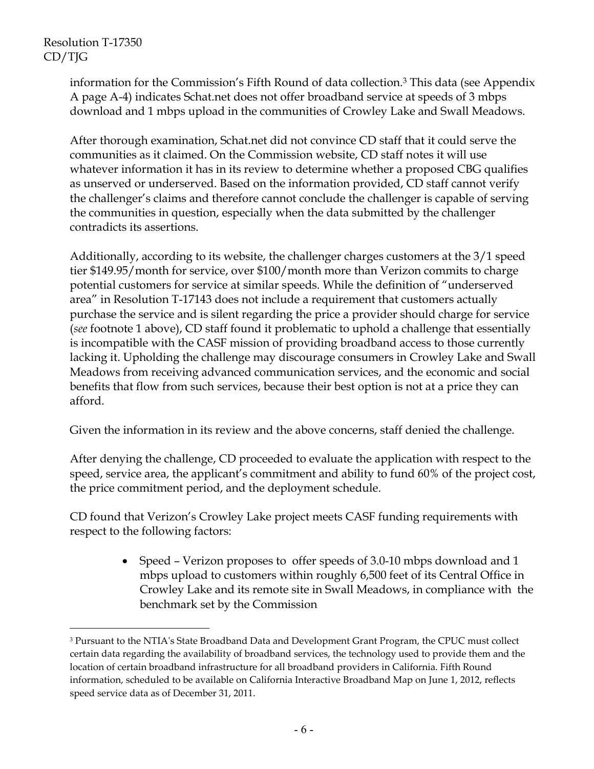$\overline{a}$ 

information for the Commission's Fifth Round of data collection.<sup>3</sup> This data (see Appendix A page A-4) indicates Schat.net does not offer broadband service at speeds of 3 mbps download and 1 mbps upload in the communities of Crowley Lake and Swall Meadows.

After thorough examination, Schat.net did not convince CD staff that it could serve the communities as it claimed. On the Commission website, CD staff notes it will use whatever information it has in its review to determine whether a proposed CBG qualifies as unserved or underserved. Based on the information provided, CD staff cannot verify the challenger's claims and therefore cannot conclude the challenger is capable of serving the communities in question, especially when the data submitted by the challenger contradicts its assertions.

Additionally, according to its website, the challenger charges customers at the 3/1 speed tier \$149.95/month for service, over \$100/month more than Verizon commits to charge potential customers for service at similar speeds. While the definition of "underserved area" in Resolution T-17143 does not include a requirement that customers actually purchase the service and is silent regarding the price a provider should charge for service (*see* footnote 1 above), CD staff found it problematic to uphold a challenge that essentially is incompatible with the CASF mission of providing broadband access to those currently lacking it. Upholding the challenge may discourage consumers in Crowley Lake and Swall Meadows from receiving advanced communication services, and the economic and social benefits that flow from such services, because their best option is not at a price they can afford.

Given the information in its review and the above concerns, staff denied the challenge.

After denying the challenge, CD proceeded to evaluate the application with respect to the speed, service area, the applicant's commitment and ability to fund 60% of the project cost, the price commitment period, and the deployment schedule.

CD found that Verizon's Crowley Lake project meets CASF funding requirements with respect to the following factors:

> • Speed – Verizon proposes to offer speeds of 3.0-10 mbps download and 1 mbps upload to customers within roughly 6,500 feet of its Central Office in Crowley Lake and its remote site in Swall Meadows, in compliance with the benchmark set by the Commission

<sup>&</sup>lt;sup>3</sup> Pursuant to the NTIA's State Broadband Data and Development Grant Program, the CPUC must collect certain data regarding the availability of broadband services, the technology used to provide them and the location of certain broadband infrastructure for all broadband providers in California. Fifth Round information, scheduled to be available on California Interactive Broadband Map on June 1, 2012, reflects speed service data as of December 31, 2011.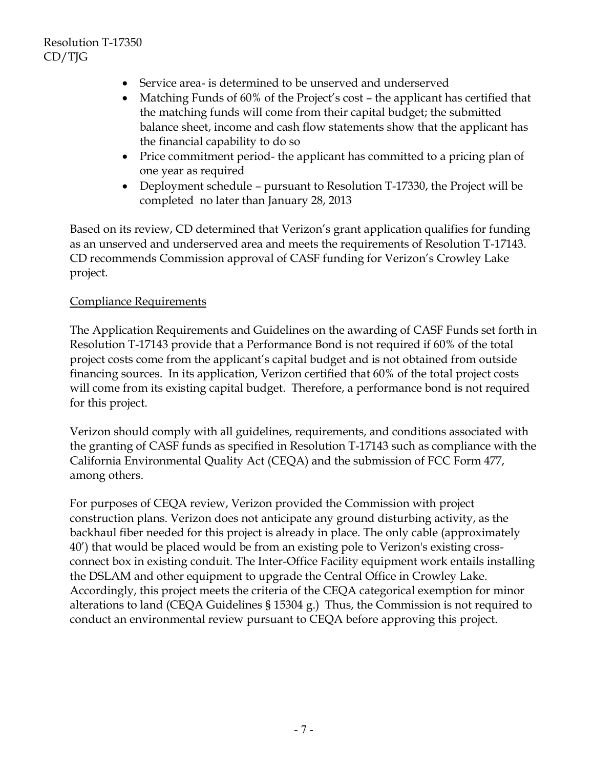- Service area- is determined to be unserved and underserved
- Matching Funds of 60% of the Project's cost the applicant has certified that the matching funds will come from their capital budget; the submitted balance sheet, income and cash flow statements show that the applicant has the financial capability to do so
- Price commitment period- the applicant has committed to a pricing plan of one year as required
- Deployment schedule pursuant to Resolution T-17330, the Project will be completed no later than January 28, 2013

Based on its review, CD determined that Verizon's grant application qualifies for funding as an unserved and underserved area and meets the requirements of Resolution T-17143. CD recommends Commission approval of CASF funding for Verizon's Crowley Lake project.

### Compliance Requirements

The Application Requirements and Guidelines on the awarding of CASF Funds set forth in Resolution T-17143 provide that a Performance Bond is not required if 60% of the total project costs come from the applicant's capital budget and is not obtained from outside financing sources. In its application, Verizon certified that 60% of the total project costs will come from its existing capital budget. Therefore, a performance bond is not required for this project.

Verizon should comply with all guidelines, requirements, and conditions associated with the granting of CASF funds as specified in Resolution T-17143 such as compliance with the California Environmental Quality Act (CEQA) and the submission of FCC Form 477, among others.

For purposes of CEQA review, Verizon provided the Commission with project construction plans. Verizon does not anticipate any ground disturbing activity, as the backhaul fiber needed for this project is already in place. The only cable (approximately 40') that would be placed would be from an existing pole to Verizon's existing crossconnect box in existing conduit. The Inter-Office Facility equipment work entails installing the DSLAM and other equipment to upgrade the Central Office in Crowley Lake. Accordingly, this project meets the criteria of the CEQA categorical exemption for minor alterations to land (CEQA Guidelines  $\S$  15304 g.) Thus, the Commission is not required to conduct an environmental review pursuant to CEQA before approving this project.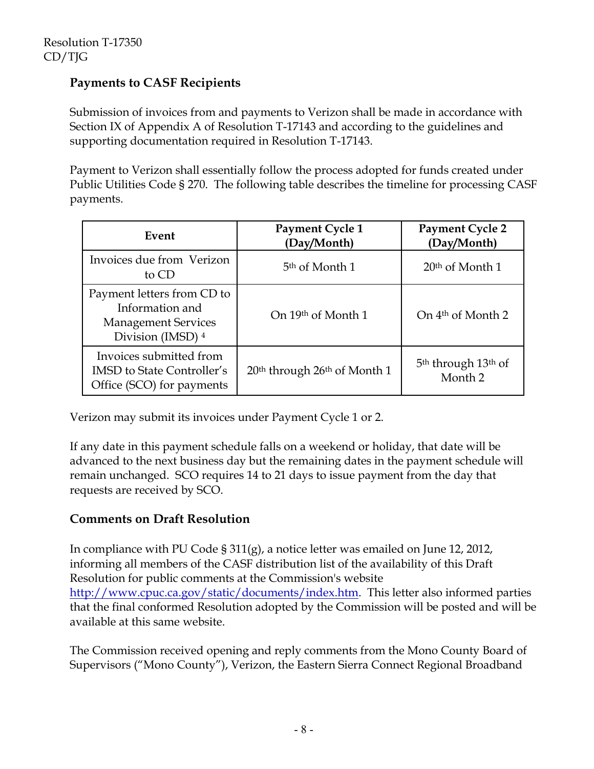# **Payments to CASF Recipients**

Submission of invoices from and payments to Verizon shall be made in accordance with Section IX of Appendix A of Resolution T-17143 and according to the guidelines and supporting documentation required in Resolution T-17143.

Payment to Verizon shall essentially follow the process adopted for funds created under Public Utilities Code § 270. The following table describes the timeline for processing CASF payments.

| Event                                                                                            | Payment Cycle 1<br>(Day/Month)                       | <b>Payment Cycle 2</b><br>(Day/Month)                             |
|--------------------------------------------------------------------------------------------------|------------------------------------------------------|-------------------------------------------------------------------|
| Invoices due from Verizon<br>to CD                                                               | 5 <sup>th</sup> of Month 1                           | $20th$ of Month 1                                                 |
| Payment letters from CD to<br>Information and<br><b>Management Services</b><br>Division (IMSD) 4 | On 19th of Month 1                                   | On 4 <sup>th</sup> of Month 2                                     |
| Invoices submitted from<br><b>IMSD</b> to State Controller's<br>Office (SCO) for payments        | 20 <sup>th</sup> through 26 <sup>th</sup> of Month 1 | 5 <sup>th</sup> through 13 <sup>th</sup> of<br>Month <sub>2</sub> |

Verizon may submit its invoices under Payment Cycle 1 or 2.

If any date in this payment schedule falls on a weekend or holiday, that date will be advanced to the next business day but the remaining dates in the payment schedule will remain unchanged. SCO requires 14 to 21 days to issue payment from the day that requests are received by SCO.

# **Comments on Draft Resolution**

In compliance with PU Code § 311(g), a notice letter was emailed on June 12, 2012, informing all members of the CASF distribution list of the availability of this Draft Resolution for public comments at the Commission's website http://www.cpuc.ca.gov/static/documents/index.htm. This letter also informed parties that the final conformed Resolution adopted by the Commission will be posted and will be available at this same website.

The Commission received opening and reply comments from the Mono County Board of Supervisors ("Mono County"), Verizon, the Eastern Sierra Connect Regional Broadband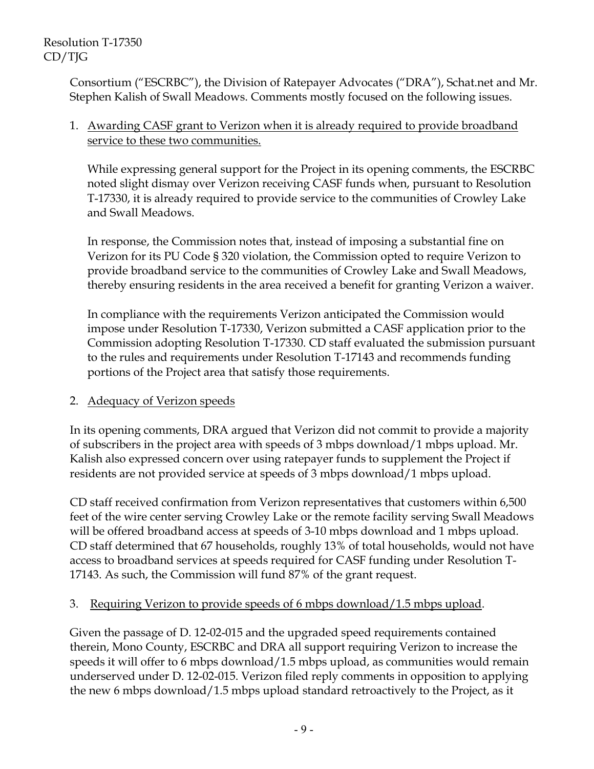Consortium ("ESCRBC"), the Division of Ratepayer Advocates ("DRA"), Schat.net and Mr. Stephen Kalish of Swall Meadows. Comments mostly focused on the following issues.

### 1. Awarding CASF grant to Verizon when it is already required to provide broadband service to these two communities.

While expressing general support for the Project in its opening comments, the ESCRBC noted slight dismay over Verizon receiving CASF funds when, pursuant to Resolution T-17330, it is already required to provide service to the communities of Crowley Lake and Swall Meadows.

In response, the Commission notes that, instead of imposing a substantial fine on Verizon for its PU Code § 320 violation, the Commission opted to require Verizon to provide broadband service to the communities of Crowley Lake and Swall Meadows, thereby ensuring residents in the area received a benefit for granting Verizon a waiver.

In compliance with the requirements Verizon anticipated the Commission would impose under Resolution T-17330, Verizon submitted a CASF application prior to the Commission adopting Resolution T-17330. CD staff evaluated the submission pursuant to the rules and requirements under Resolution T-17143 and recommends funding portions of the Project area that satisfy those requirements.

# 2. Adequacy of Verizon speeds

In its opening comments, DRA argued that Verizon did not commit to provide a majority of subscribers in the project area with speeds of 3 mbps download/1 mbps upload. Mr. Kalish also expressed concern over using ratepayer funds to supplement the Project if residents are not provided service at speeds of 3 mbps download/1 mbps upload.

CD staff received confirmation from Verizon representatives that customers within 6,500 feet of the wire center serving Crowley Lake or the remote facility serving Swall Meadows will be offered broadband access at speeds of 3-10 mbps download and 1 mbps upload. CD staff determined that 67 households, roughly 13% of total households, would not have access to broadband services at speeds required for CASF funding under Resolution T-17143. As such, the Commission will fund 87% of the grant request.

# 3. Requiring Verizon to provide speeds of 6 mbps download/1.5 mbps upload.

Given the passage of D. 12-02-015 and the upgraded speed requirements contained therein, Mono County, ESCRBC and DRA all support requiring Verizon to increase the speeds it will offer to 6 mbps download/1.5 mbps upload, as communities would remain underserved under D. 12-02-015. Verizon filed reply comments in opposition to applying the new 6 mbps download/1.5 mbps upload standard retroactively to the Project, as it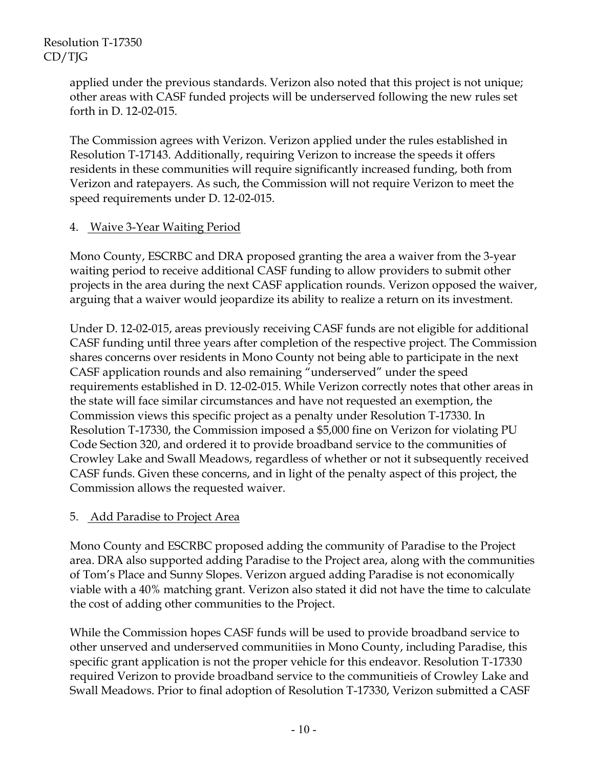applied under the previous standards. Verizon also noted that this project is not unique; other areas with CASF funded projects will be underserved following the new rules set forth in D. 12-02-015.

The Commission agrees with Verizon. Verizon applied under the rules established in Resolution T-17143. Additionally, requiring Verizon to increase the speeds it offers residents in these communities will require significantly increased funding, both from Verizon and ratepayers. As such, the Commission will not require Verizon to meet the speed requirements under D. 12-02-015.

### 4. Waive 3-Year Waiting Period

Mono County, ESCRBC and DRA proposed granting the area a waiver from the 3-year waiting period to receive additional CASF funding to allow providers to submit other projects in the area during the next CASF application rounds. Verizon opposed the waiver, arguing that a waiver would jeopardize its ability to realize a return on its investment.

Under D. 12-02-015, areas previously receiving CASF funds are not eligible for additional CASF funding until three years after completion of the respective project. The Commission shares concerns over residents in Mono County not being able to participate in the next CASF application rounds and also remaining "underserved" under the speed requirements established in D. 12-02-015. While Verizon correctly notes that other areas in the state will face similar circumstances and have not requested an exemption, the Commission views this specific project as a penalty under Resolution T-17330. In Resolution T-17330, the Commission imposed a \$5,000 fine on Verizon for violating PU Code Section 320, and ordered it to provide broadband service to the communities of Crowley Lake and Swall Meadows, regardless of whether or not it subsequently received CASF funds. Given these concerns, and in light of the penalty aspect of this project, the Commission allows the requested waiver.

#### 5. Add Paradise to Project Area

Mono County and ESCRBC proposed adding the community of Paradise to the Project area. DRA also supported adding Paradise to the Project area, along with the communities of Tom's Place and Sunny Slopes. Verizon argued adding Paradise is not economically viable with a 40% matching grant. Verizon also stated it did not have the time to calculate the cost of adding other communities to the Project.

While the Commission hopes CASF funds will be used to provide broadband service to other unserved and underserved communitiies in Mono County, including Paradise, this specific grant application is not the proper vehicle for this endeavor. Resolution T-17330 required Verizon to provide broadband service to the communitieis of Crowley Lake and Swall Meadows. Prior to final adoption of Resolution T-17330, Verizon submitted a CASF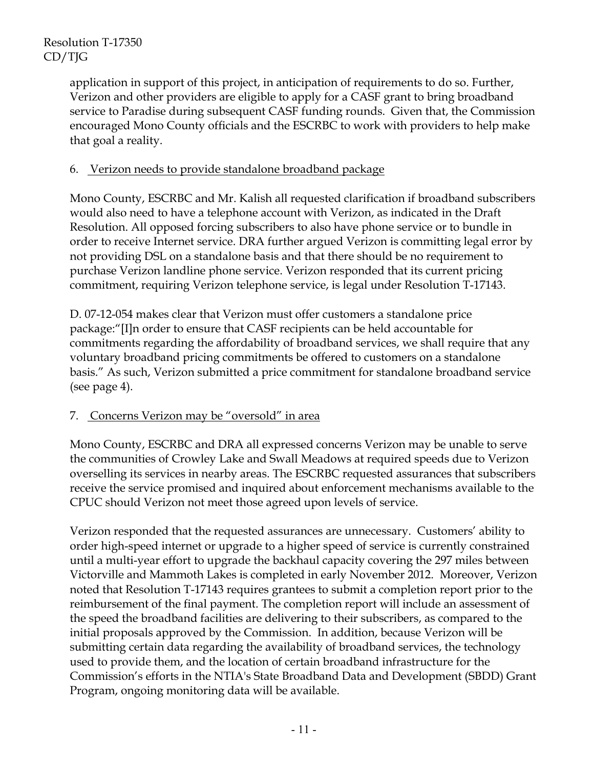application in support of this project, in anticipation of requirements to do so. Further, Verizon and other providers are eligible to apply for a CASF grant to bring broadband service to Paradise during subsequent CASF funding rounds. Given that, the Commission encouraged Mono County officials and the ESCRBC to work with providers to help make that goal a reality.

### 6. Verizon needs to provide standalone broadband package

Mono County, ESCRBC and Mr. Kalish all requested clarification if broadband subscribers would also need to have a telephone account with Verizon, as indicated in the Draft Resolution. All opposed forcing subscribers to also have phone service or to bundle in order to receive Internet service. DRA further argued Verizon is committing legal error by not providing DSL on a standalone basis and that there should be no requirement to purchase Verizon landline phone service. Verizon responded that its current pricing commitment, requiring Verizon telephone service, is legal under Resolution T-17143.

D. 07-12-054 makes clear that Verizon must offer customers a standalone price package:"[I]n order to ensure that CASF recipients can be held accountable for commitments regarding the affordability of broadband services, we shall require that any voluntary broadband pricing commitments be offered to customers on a standalone basis." As such, Verizon submitted a price commitment for standalone broadband service (see page 4).

# 7. Concerns Verizon may be "oversold" in area

Mono County, ESCRBC and DRA all expressed concerns Verizon may be unable to serve the communities of Crowley Lake and Swall Meadows at required speeds due to Verizon overselling its services in nearby areas. The ESCRBC requested assurances that subscribers receive the service promised and inquired about enforcement mechanisms available to the CPUC should Verizon not meet those agreed upon levels of service.

Verizon responded that the requested assurances are unnecessary. Customers' ability to order high-speed internet or upgrade to a higher speed of service is currently constrained until a multi-year effort to upgrade the backhaul capacity covering the 297 miles between Victorville and Mammoth Lakes is completed in early November 2012. Moreover, Verizon noted that Resolution T-17143 requires grantees to submit a completion report prior to the reimbursement of the final payment. The completion report will include an assessment of the speed the broadband facilities are delivering to their subscribers, as compared to the initial proposals approved by the Commission. In addition, because Verizon will be submitting certain data regarding the availability of broadband services, the technology used to provide them, and the location of certain broadband infrastructure for the Commission's efforts in the NTIA's State Broadband Data and Development (SBDD) Grant Program, ongoing monitoring data will be available.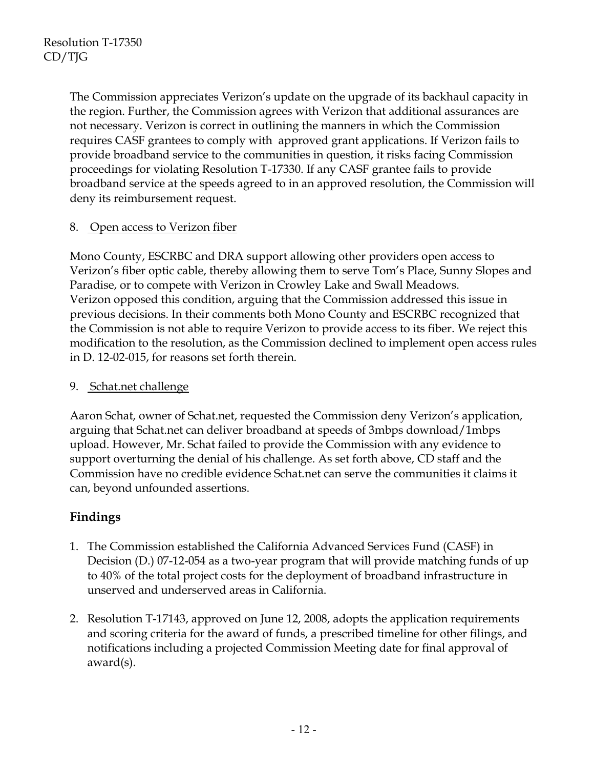The Commission appreciates Verizon's update on the upgrade of its backhaul capacity in the region. Further, the Commission agrees with Verizon that additional assurances are not necessary. Verizon is correct in outlining the manners in which the Commission requires CASF grantees to comply with approved grant applications. If Verizon fails to provide broadband service to the communities in question, it risks facing Commission proceedings for violating Resolution T-17330. If any CASF grantee fails to provide broadband service at the speeds agreed to in an approved resolution, the Commission will deny its reimbursement request.

### 8. Open access to Verizon fiber

Mono County, ESCRBC and DRA support allowing other providers open access to Verizon's fiber optic cable, thereby allowing them to serve Tom's Place, Sunny Slopes and Paradise, or to compete with Verizon in Crowley Lake and Swall Meadows. Verizon opposed this condition, arguing that the Commission addressed this issue in previous decisions. In their comments both Mono County and ESCRBC recognized that the Commission is not able to require Verizon to provide access to its fiber. We reject this modification to the resolution, as the Commission declined to implement open access rules in D. 12-02-015, for reasons set forth therein.

### 9. Schat.net challenge

Aaron Schat, owner of Schat.net, requested the Commission deny Verizon's application, arguing that Schat.net can deliver broadband at speeds of 3mbps download/1mbps upload. However, Mr. Schat failed to provide the Commission with any evidence to support overturning the denial of his challenge. As set forth above, CD staff and the Commission have no credible evidence Schat.net can serve the communities it claims it can, beyond unfounded assertions.

# **Findings**

- 1. The Commission established the California Advanced Services Fund (CASF) in Decision (D.) 07-12-054 as a two-year program that will provide matching funds of up to 40% of the total project costs for the deployment of broadband infrastructure in unserved and underserved areas in California.
- 2. Resolution T-17143, approved on June 12, 2008, adopts the application requirements and scoring criteria for the award of funds, a prescribed timeline for other filings, and notifications including a projected Commission Meeting date for final approval of award(s).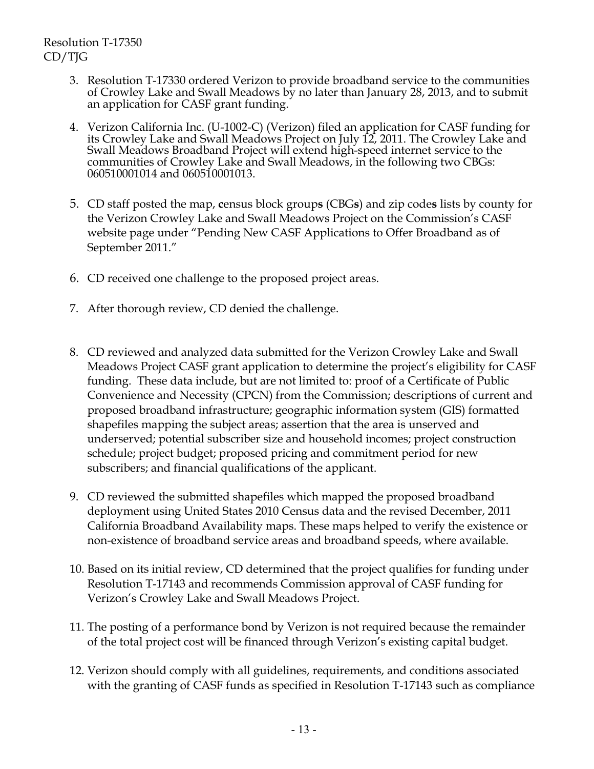- 3. Resolution T-17330 ordered Verizon to provide broadband service to the communities of Crowley Lake and Swall Meadows by no later than January 28, 2013, and to submit an application for CASF grant funding.
- 4. Verizon California Inc. (U-1002-C) (Verizon) filed an application for CASF funding for its Crowley Lake and Swall Meadows Project on July 12, 2011. The Crowley Lake and Swall Meadows Broadband Project will extend high-speed internet service to the communities of Crowley Lake and Swall Meadows, in the following two CBGs: 060510001014 and 060510001013.
- 5. CD staff posted the map, **c**ensus block group**s** (CBG**s**) and zip code**s** lists by county for the Verizon Crowley Lake and Swall Meadows Project on the Commission's CASF website page under "Pending New CASF Applications to Offer Broadband as of September 2011."
- 6. CD received one challenge to the proposed project areas.
- 7. After thorough review, CD denied the challenge.
- 8. CD reviewed and analyzed data submitted for the Verizon Crowley Lake and Swall Meadows Project CASF grant application to determine the project's eligibility for CASF funding. These data include, but are not limited to: proof of a Certificate of Public Convenience and Necessity (CPCN) from the Commission; descriptions of current and proposed broadband infrastructure; geographic information system (GIS) formatted shapefiles mapping the subject areas; assertion that the area is unserved and underserved; potential subscriber size and household incomes; project construction schedule; project budget; proposed pricing and commitment period for new subscribers; and financial qualifications of the applicant.
- 9. CD reviewed the submitted shapefiles which mapped the proposed broadband deployment using United States 2010 Census data and the revised December, 2011 California Broadband Availability maps. These maps helped to verify the existence or non-existence of broadband service areas and broadband speeds, where available.
- 10. Based on its initial review, CD determined that the project qualifies for funding under Resolution T-17143 and recommends Commission approval of CASF funding for Verizon's Crowley Lake and Swall Meadows Project.
- 11. The posting of a performance bond by Verizon is not required because the remainder of the total project cost will be financed through Verizon's existing capital budget.
- 12. Verizon should comply with all guidelines, requirements, and conditions associated with the granting of CASF funds as specified in Resolution T-17143 such as compliance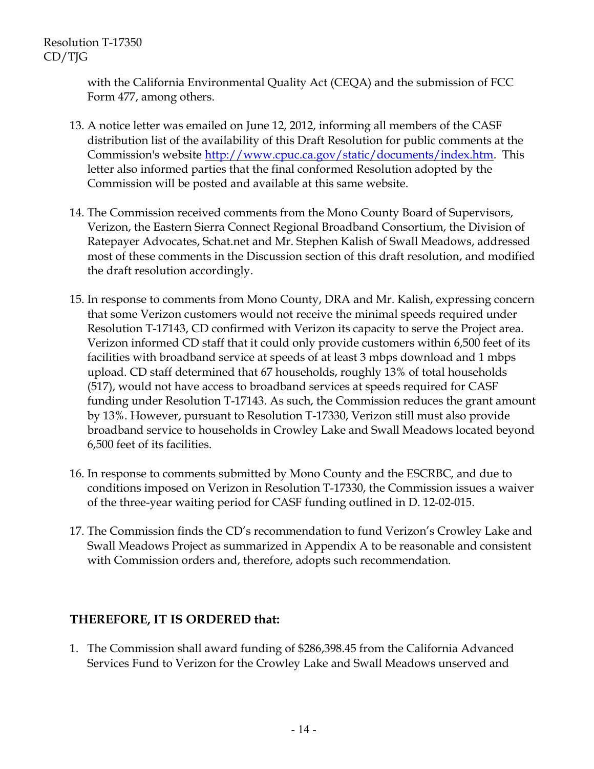with the California Environmental Quality Act (CEQA) and the submission of FCC Form 477, among others.

- 13. A notice letter was emailed on June 12, 2012, informing all members of the CASF distribution list of the availability of this Draft Resolution for public comments at the Commission's website http://www.cpuc.ca.gov/static/documents/index.htm. This letter also informed parties that the final conformed Resolution adopted by the Commission will be posted and available at this same website.
- 14. The Commission received comments from the Mono County Board of Supervisors, Verizon, the Eastern Sierra Connect Regional Broadband Consortium, the Division of Ratepayer Advocates, Schat.net and Mr. Stephen Kalish of Swall Meadows, addressed most of these comments in the Discussion section of this draft resolution, and modified the draft resolution accordingly.
- 15. In response to comments from Mono County, DRA and Mr. Kalish, expressing concern that some Verizon customers would not receive the minimal speeds required under Resolution T-17143, CD confirmed with Verizon its capacity to serve the Project area. Verizon informed CD staff that it could only provide customers within 6,500 feet of its facilities with broadband service at speeds of at least 3 mbps download and 1 mbps upload. CD staff determined that 67 households, roughly 13% of total households (517), would not have access to broadband services at speeds required for CASF funding under Resolution T-17143. As such, the Commission reduces the grant amount by 13%. However, pursuant to Resolution T-17330, Verizon still must also provide broadband service to households in Crowley Lake and Swall Meadows located beyond 6,500 feet of its facilities.
- 16. In response to comments submitted by Mono County and the ESCRBC, and due to conditions imposed on Verizon in Resolution T-17330, the Commission issues a waiver of the three-year waiting period for CASF funding outlined in D. 12-02-015.
- 17. The Commission finds the CD's recommendation to fund Verizon's Crowley Lake and Swall Meadows Project as summarized in Appendix A to be reasonable and consistent with Commission orders and, therefore, adopts such recommendation.

# **THEREFORE, IT IS ORDERED that:**

1. The Commission shall award funding of \$286,398.45 from the California Advanced Services Fund to Verizon for the Crowley Lake and Swall Meadows unserved and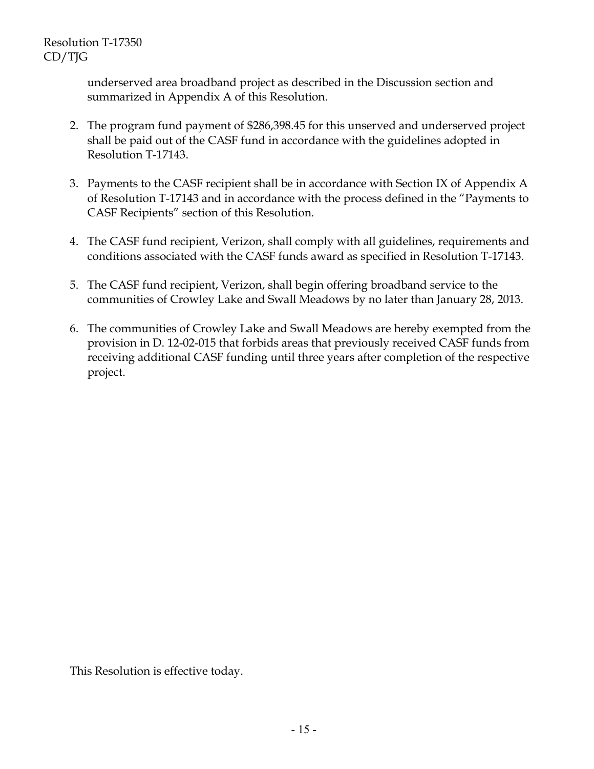underserved area broadband project as described in the Discussion section and summarized in Appendix A of this Resolution.

- 2. The program fund payment of \$286,398.45 for this unserved and underserved project shall be paid out of the CASF fund in accordance with the guidelines adopted in Resolution T-17143.
- 3. Payments to the CASF recipient shall be in accordance with Section IX of Appendix A of Resolution T-17143 and in accordance with the process defined in the "Payments to CASF Recipients" section of this Resolution.
- 4. The CASF fund recipient, Verizon, shall comply with all guidelines, requirements and conditions associated with the CASF funds award as specified in Resolution T-17143.
- 5. The CASF fund recipient, Verizon, shall begin offering broadband service to the communities of Crowley Lake and Swall Meadows by no later than January 28, 2013.
- 6. The communities of Crowley Lake and Swall Meadows are hereby exempted from the provision in D. 12-02-015 that forbids areas that previously received CASF funds from receiving additional CASF funding until three years after completion of the respective project.

This Resolution is effective today.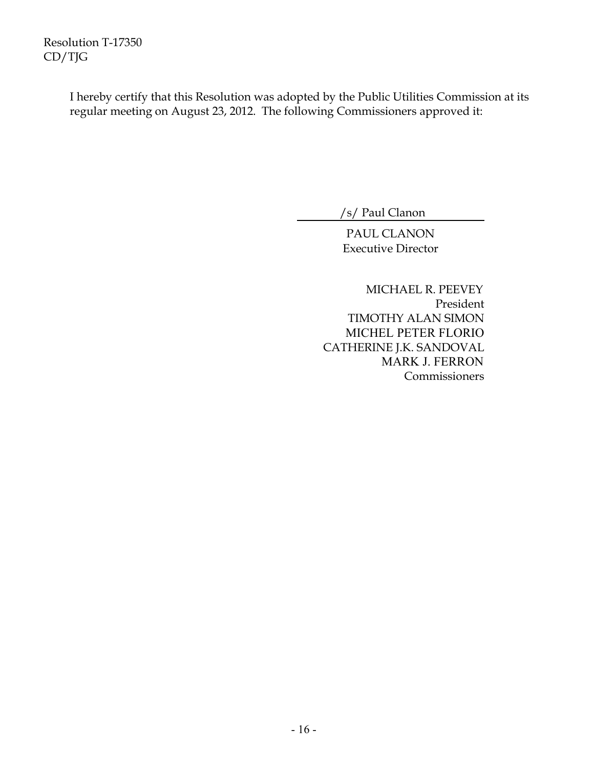> I hereby certify that this Resolution was adopted by the Public Utilities Commission at its regular meeting on August 23, 2012. The following Commissioners approved it:

> > /s/ Paul Clanon

PAUL CLANON Executive Director

 MICHAEL R. PEEVEY President TIMOTHY ALAN SIMON MICHEL PETER FLORIO CATHERINE J.K. SANDOVAL MARK J. FERRON Commissioners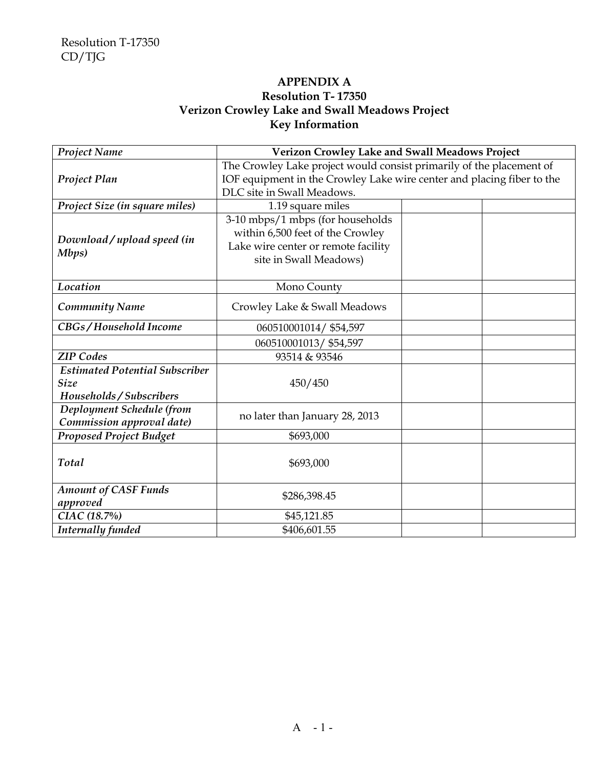### **APPENDIX A Resolution T- 17350 Verizon Crowley Lake and Swall Meadows Project Key Information**

| <b>Project Name</b>                                                              | Verizon Crowley Lake and Swall Meadows Project                                                                                                                               |  |  |
|----------------------------------------------------------------------------------|------------------------------------------------------------------------------------------------------------------------------------------------------------------------------|--|--|
| <b>Project Plan</b>                                                              | The Crowley Lake project would consist primarily of the placement of<br>IOF equipment in the Crowley Lake wire center and placing fiber to the<br>DLC site in Swall Meadows. |  |  |
| Project Size (in square miles)                                                   | 1.19 square miles                                                                                                                                                            |  |  |
| Download/upload speed (in<br>Mbps)                                               | 3-10 mbps/1 mbps (for households<br>within 6,500 feet of the Crowley<br>Lake wire center or remote facility<br>site in Swall Meadows)                                        |  |  |
| Location                                                                         | Mono County                                                                                                                                                                  |  |  |
| <b>Community Name</b>                                                            | Crowley Lake & Swall Meadows                                                                                                                                                 |  |  |
| CBGs/Household Income                                                            | 060510001014/ \$54,597                                                                                                                                                       |  |  |
|                                                                                  | 060510001013/ \$54,597                                                                                                                                                       |  |  |
| <b>ZIP</b> Codes                                                                 | 93514 & 93546                                                                                                                                                                |  |  |
| <b>Estimated Potential Subscriber</b><br><b>Size</b><br>Households / Subscribers | 450/450                                                                                                                                                                      |  |  |
| Deployment Schedule (from<br>Commission approval date)                           | no later than January 28, 2013                                                                                                                                               |  |  |
| <b>Proposed Project Budget</b>                                                   | \$693,000                                                                                                                                                                    |  |  |
| Total                                                                            | \$693,000                                                                                                                                                                    |  |  |
| <b>Amount of CASF Funds</b><br>approved                                          | \$286,398.45                                                                                                                                                                 |  |  |
| CIAC (18.7%)                                                                     | \$45,121.85                                                                                                                                                                  |  |  |
| Internally funded                                                                | \$406,601.55                                                                                                                                                                 |  |  |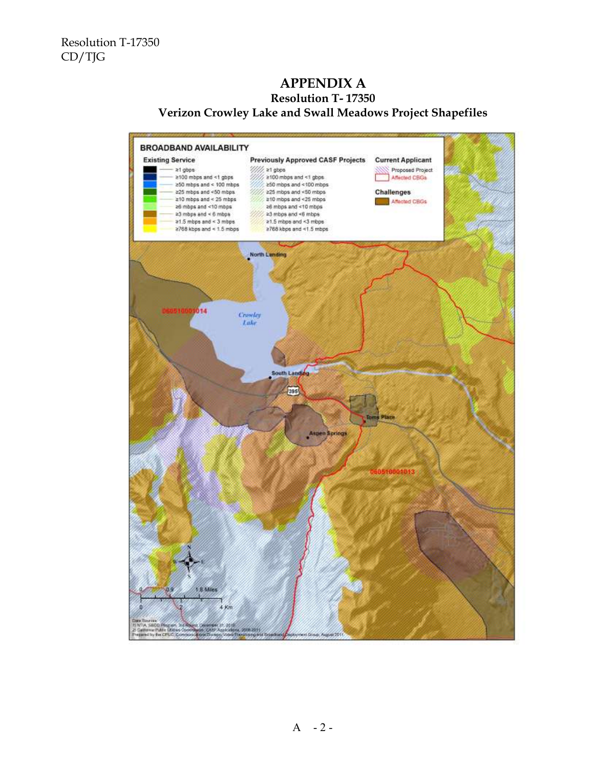### **APPENDIX A Resolution T- 17350 Verizon Crowley Lake and Swall Meadows Project Shapefiles**

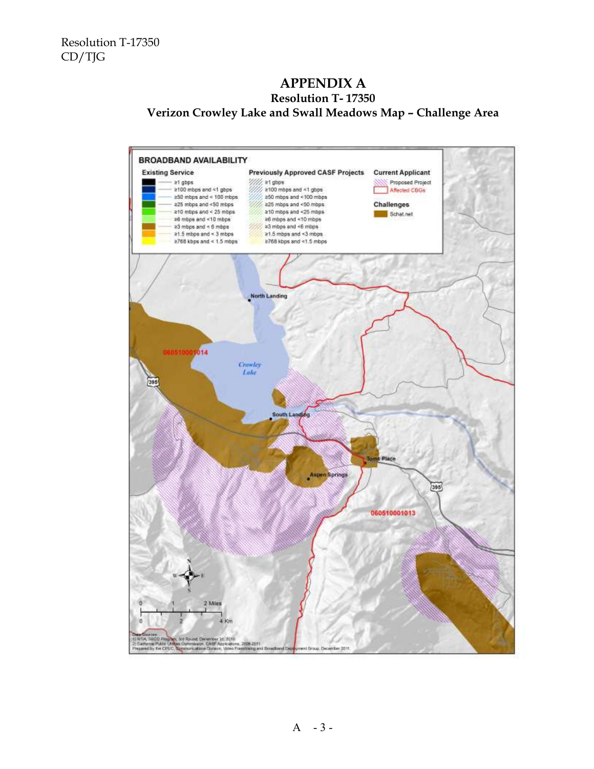### **APPENDIX A Resolution T- 17350 Verizon Crowley Lake and Swall Meadows Map – Challenge Area**



 $A - 3 -$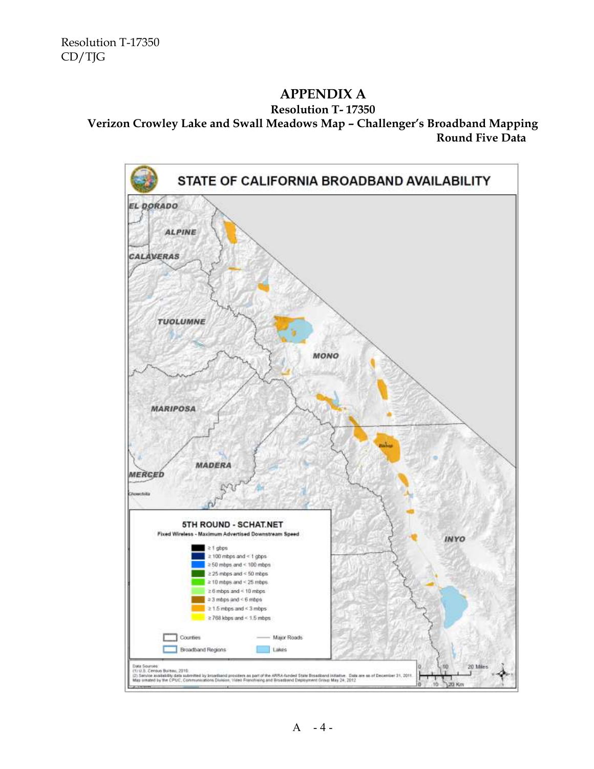# **APPENDIX A**

#### **Resolution T- 17350**

### **Verizon Crowley Lake and Swall Meadows Map – Challenger's Broadband Mapping Round Five Data**



 $A - 4 -$